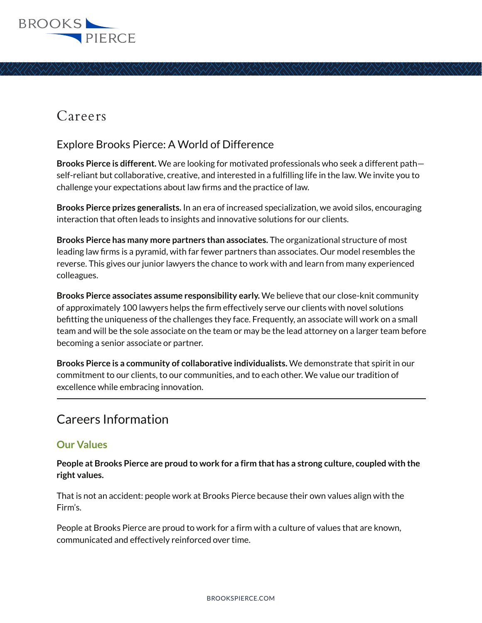

## Careers

## Explore Brooks Pierce: A World of Difference

**Brooks Pierce is different.** We are looking for motivated professionals who seek a different path self-reliant but collaborative, creative, and interested in a fulfilling life in the law. We invite you to challenge your expectations about law firms and the practice of law.

**Brooks Pierce prizes generalists.** In an era of increased specialization, we avoid silos, encouraging interaction that often leads to insights and innovative solutions for our clients.

**Brooks Pierce has many more partners than associates.** The organizational structure of most leading law firms is a pyramid, with far fewer partners than associates. Our model resembles the reverse. This gives our junior lawyers the chance to work with and learn from many experienced colleagues.

**Brooks Pierce associates assume responsibility early.** We believe that our close-knit community of approximately 100 lawyers helps the firm effectively serve our clients with novel solutions befitting the uniqueness of the challenges they face. Frequently, an associate will work on a small team and will be the sole associate on the team or may be the lead attorney on a larger team before becoming a senior associate or partner.

**Brooks Pierce is a community of collaborative individualists.** We demonstrate that spirit in our commitment to our clients, to our communities, and to each other. We value our tradition of excellence while embracing innovation.  $\overline{a}$ 

## Careers Information

## **Our Values**

**People at Brooks Pierce are proud to work for a firm that has a strong culture, coupled with the right values.** 

That is not an accident: people work at Brooks Pierce because their own values align with the Firm's.

People at Brooks Pierce are proud to work for a firm with a culture of values that are known, communicated and effectively reinforced over time.